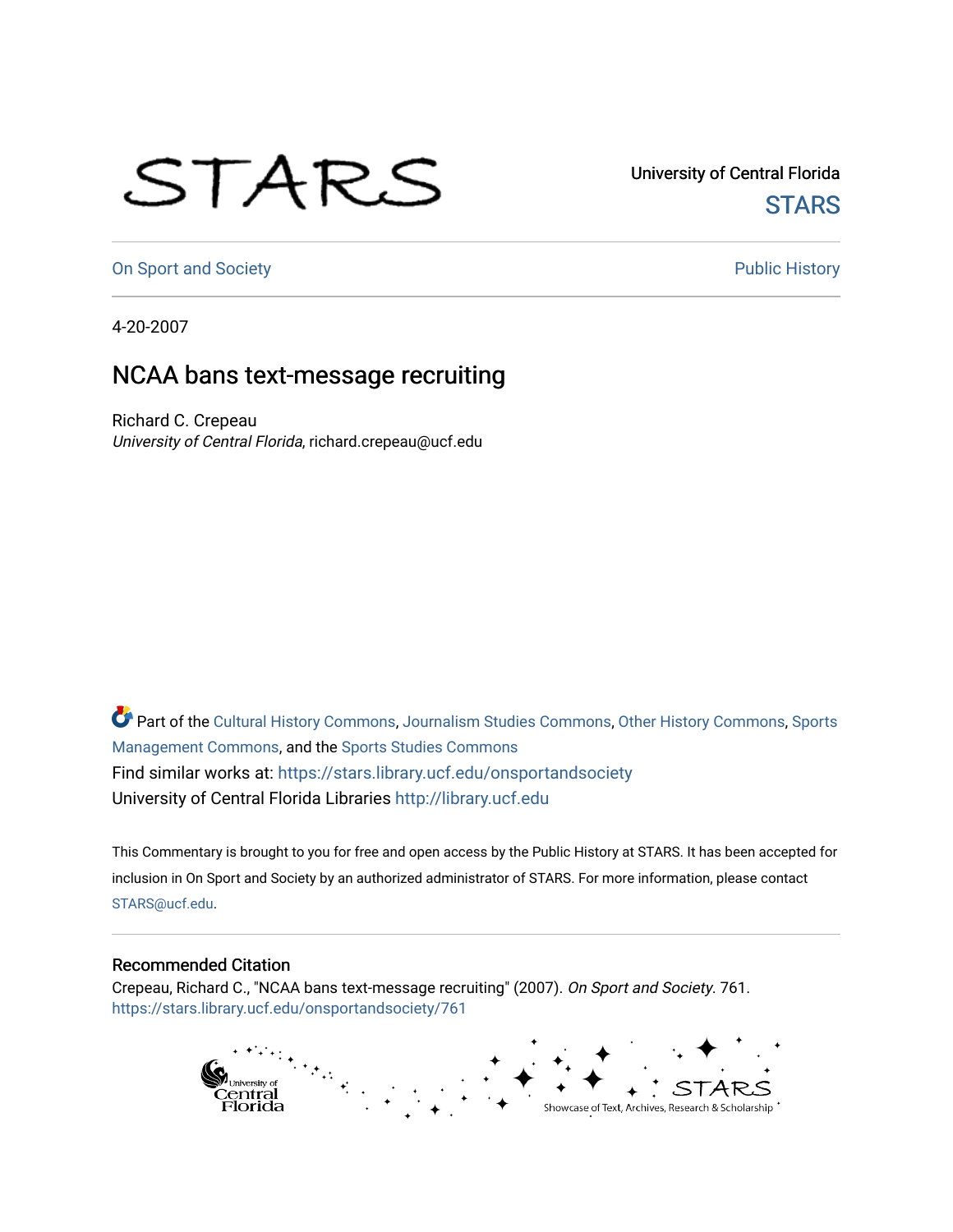## STARS

University of Central Florida **STARS** 

[On Sport and Society](https://stars.library.ucf.edu/onsportandsociety) **Public History** Public History

4-20-2007

## NCAA bans text-message recruiting

Richard C. Crepeau University of Central Florida, richard.crepeau@ucf.edu

Part of the [Cultural History Commons](http://network.bepress.com/hgg/discipline/496?utm_source=stars.library.ucf.edu%2Fonsportandsociety%2F761&utm_medium=PDF&utm_campaign=PDFCoverPages), [Journalism Studies Commons,](http://network.bepress.com/hgg/discipline/333?utm_source=stars.library.ucf.edu%2Fonsportandsociety%2F761&utm_medium=PDF&utm_campaign=PDFCoverPages) [Other History Commons,](http://network.bepress.com/hgg/discipline/508?utm_source=stars.library.ucf.edu%2Fonsportandsociety%2F761&utm_medium=PDF&utm_campaign=PDFCoverPages) [Sports](http://network.bepress.com/hgg/discipline/1193?utm_source=stars.library.ucf.edu%2Fonsportandsociety%2F761&utm_medium=PDF&utm_campaign=PDFCoverPages) [Management Commons](http://network.bepress.com/hgg/discipline/1193?utm_source=stars.library.ucf.edu%2Fonsportandsociety%2F761&utm_medium=PDF&utm_campaign=PDFCoverPages), and the [Sports Studies Commons](http://network.bepress.com/hgg/discipline/1198?utm_source=stars.library.ucf.edu%2Fonsportandsociety%2F761&utm_medium=PDF&utm_campaign=PDFCoverPages) Find similar works at: <https://stars.library.ucf.edu/onsportandsociety> University of Central Florida Libraries [http://library.ucf.edu](http://library.ucf.edu/) 

This Commentary is brought to you for free and open access by the Public History at STARS. It has been accepted for inclusion in On Sport and Society by an authorized administrator of STARS. For more information, please contact [STARS@ucf.edu](mailto:STARS@ucf.edu).

## Recommended Citation

Crepeau, Richard C., "NCAA bans text-message recruiting" (2007). On Sport and Society. 761. [https://stars.library.ucf.edu/onsportandsociety/761](https://stars.library.ucf.edu/onsportandsociety/761?utm_source=stars.library.ucf.edu%2Fonsportandsociety%2F761&utm_medium=PDF&utm_campaign=PDFCoverPages)

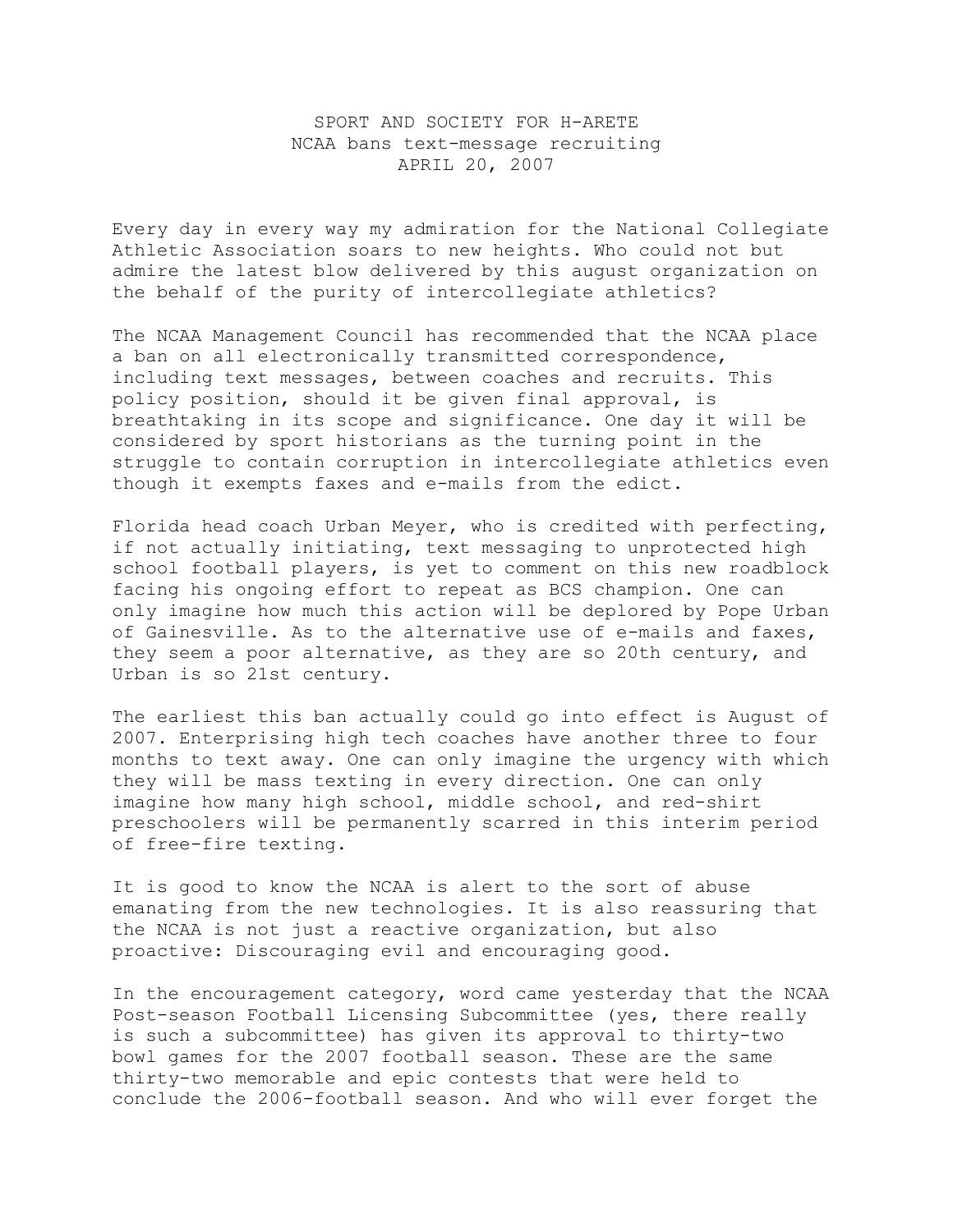## SPORT AND SOCIETY FOR H-ARETE NCAA bans text-message recruiting APRIL 20, 2007

Every day in every way my admiration for the National Collegiate Athletic Association soars to new heights. Who could not but admire the latest blow delivered by this august organization on the behalf of the purity of intercollegiate athletics?

The NCAA Management Council has recommended that the NCAA place a ban on all electronically transmitted correspondence, including text messages, between coaches and recruits. This policy position, should it be given final approval, is breathtaking in its scope and significance. One day it will be considered by sport historians as the turning point in the struggle to contain corruption in intercollegiate athletics even though it exempts faxes and e-mails from the edict.

Florida head coach Urban Meyer, who is credited with perfecting, if not actually initiating, text messaging to unprotected high school football players, is yet to comment on this new roadblock facing his ongoing effort to repeat as BCS champion. One can only imagine how much this action will be deplored by Pope Urban of Gainesville. As to the alternative use of e-mails and faxes, they seem a poor alternative, as they are so 20th century, and Urban is so 21st century.

The earliest this ban actually could go into effect is August of 2007. Enterprising high tech coaches have another three to four months to text away. One can only imagine the urgency with which they will be mass texting in every direction. One can only imagine how many high school, middle school, and red-shirt preschoolers will be permanently scarred in this interim period of free-fire texting.

It is good to know the NCAA is alert to the sort of abuse emanating from the new technologies. It is also reassuring that the NCAA is not just a reactive organization, but also proactive: Discouraging evil and encouraging good.

In the encouragement category, word came yesterday that the NCAA Post-season Football Licensing Subcommittee (yes, there really is such a subcommittee) has given its approval to thirty-two bowl games for the 2007 football season. These are the same thirty-two memorable and epic contests that were held to conclude the 2006-football season. And who will ever forget the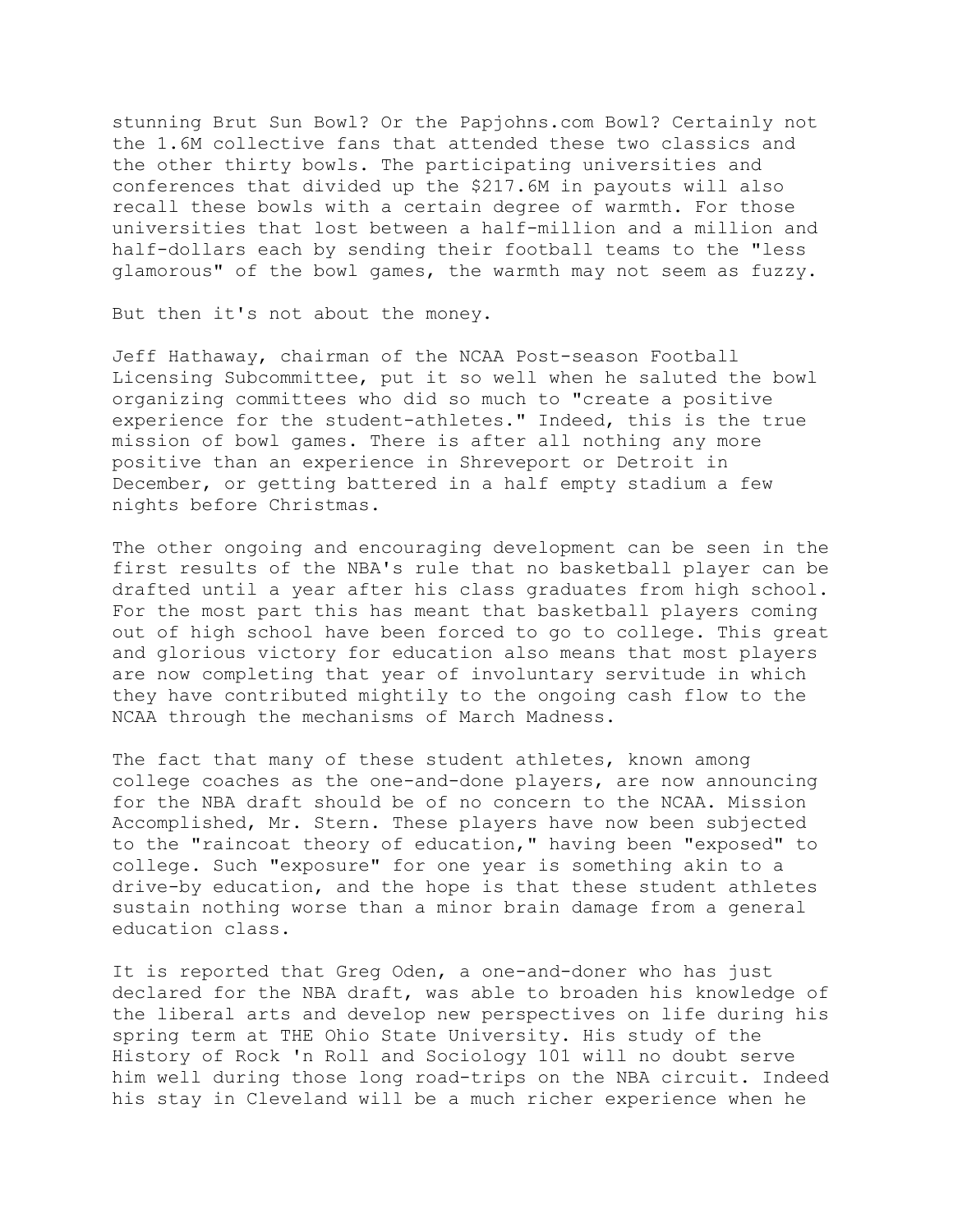stunning Brut Sun Bowl? Or the Papjohns.com Bowl? Certainly not the 1.6M collective fans that attended these two classics and the other thirty bowls. The participating universities and conferences that divided up the \$217.6M in payouts will also recall these bowls with a certain degree of warmth. For those universities that lost between a half-million and a million and half-dollars each by sending their football teams to the "less glamorous" of the bowl games, the warmth may not seem as fuzzy.

But then it's not about the money.

Jeff Hathaway, chairman of the NCAA Post-season Football Licensing Subcommittee, put it so well when he saluted the bowl organizing committees who did so much to "create a positive experience for the student-athletes." Indeed, this is the true mission of bowl games. There is after all nothing any more positive than an experience in Shreveport or Detroit in December, or getting battered in a half empty stadium a few nights before Christmas.

The other ongoing and encouraging development can be seen in the first results of the NBA's rule that no basketball player can be drafted until a year after his class graduates from high school. For the most part this has meant that basketball players coming out of high school have been forced to go to college. This great and glorious victory for education also means that most players are now completing that year of involuntary servitude in which they have contributed mightily to the ongoing cash flow to the NCAA through the mechanisms of March Madness.

The fact that many of these student athletes, known among college coaches as the one-and-done players, are now announcing for the NBA draft should be of no concern to the NCAA. Mission Accomplished, Mr. Stern. These players have now been subjected to the "raincoat theory of education," having been "exposed" to college. Such "exposure" for one year is something akin to a drive-by education, and the hope is that these student athletes sustain nothing worse than a minor brain damage from a general education class.

It is reported that Greg Oden, a one-and-doner who has just declared for the NBA draft, was able to broaden his knowledge of the liberal arts and develop new perspectives on life during his spring term at THE Ohio State University. His study of the History of Rock 'n Roll and Sociology 101 will no doubt serve him well during those long road-trips on the NBA circuit. Indeed his stay in Cleveland will be a much richer experience when he